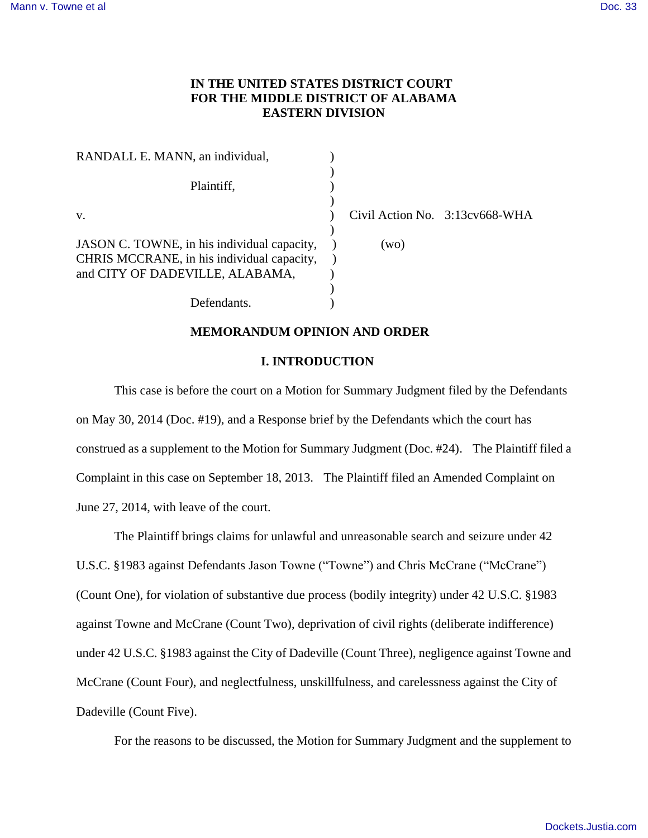# **IN THE UNITED STATES DISTRICT COURT FOR THE MIDDLE DISTRICT OF ALABAMA EASTERN DIVISION**

| RANDALL E. MANN, an individual,             |      |                                |
|---------------------------------------------|------|--------------------------------|
|                                             |      |                                |
| Plaintiff,                                  |      |                                |
|                                             |      |                                |
| V.                                          |      | Civil Action No. 3:13cv668-WHA |
|                                             |      |                                |
| JASON C. TOWNE, in his individual capacity, | (wo) |                                |
| CHRIS MCCRANE, in his individual capacity,  |      |                                |
| and CITY OF DADEVILLE, ALABAMA,             |      |                                |
|                                             |      |                                |
| Defendants.                                 |      |                                |

# **MEMORANDUM OPINION AND ORDER**

## **I. INTRODUCTION**

This case is before the court on a Motion for Summary Judgment filed by the Defendants on May 30, 2014 (Doc. #19), and a Response brief by the Defendants which the court has construed as a supplement to the Motion for Summary Judgment (Doc. #24). The Plaintiff filed a Complaint in this case on September 18, 2013. The Plaintiff filed an Amended Complaint on June 27, 2014, with leave of the court.

The Plaintiff brings claims for unlawful and unreasonable search and seizure under 42 U.S.C. §1983 against Defendants Jason Towne ("Towne") and Chris McCrane ("McCrane") (Count One), for violation of substantive due process (bodily integrity) under 42 U.S.C. §1983 against Towne and McCrane (Count Two), deprivation of civil rights (deliberate indifference) under 42 U.S.C. §1983 against the City of Dadeville (Count Three), negligence against Towne and McCrane (Count Four), and neglectfulness, unskillfulness, and carelessness against the City of Dadeville (Count Five).

For the reasons to be discussed, the Motion for Summary Judgment and the supplement to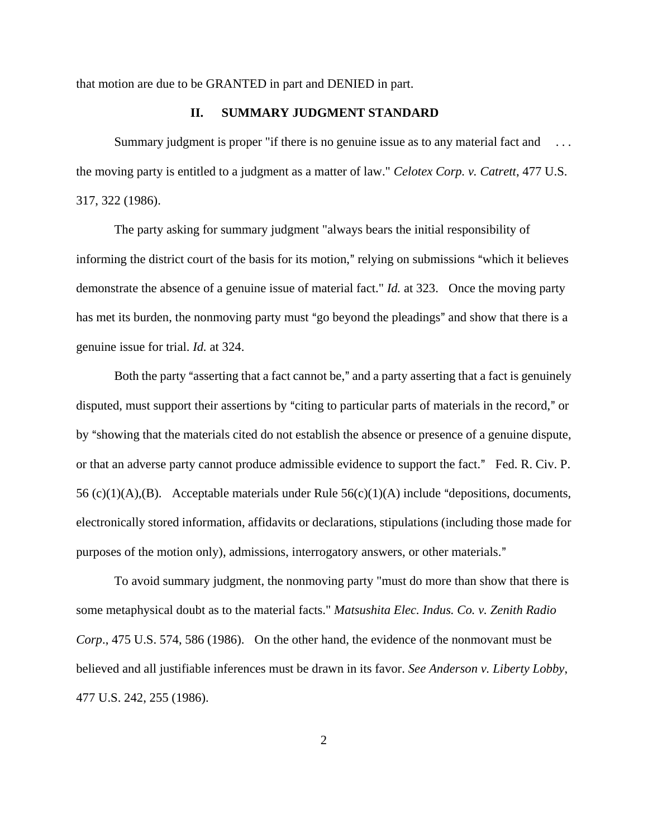that motion are due to be GRANTED in part and DENIED in part.

# **II. SUMMARY JUDGMENT STANDARD**

Summary judgment is proper "if there is no genuine issue as to any material fact and the moving party is entitled to a judgment as a matter of law." *Celotex Corp. v. Catrett*, 477 U.S. 317, 322 (1986).

The party asking for summary judgment "always bears the initial responsibility of informing the district court of the basis for its motion," relying on submissions "which it believes" demonstrate the absence of a genuine issue of material fact." *Id.* at 323. Once the moving party has met its burden, the nonmoving party must "go beyond the pleadings" and show that there is a genuine issue for trial. *Id.* at 324.

Both the party "asserting that a fact cannot be," and a party asserting that a fact is genuinely disputed, must support their assertions by "citing to particular parts of materials in the record," or by "showing that the materials cited do not establish the absence or presence of a genuine dispute, or that an adverse party cannot produce admissible evidence to support the fact." Fed. R. Civ. P. 56 (c)(1)(A),(B). Acceptable materials under Rule  $56(c)(1)(A)$  include "depositions, documents, electronically stored information, affidavits or declarations, stipulations (including those made for purposes of the motion only), admissions, interrogatory answers, or other materials."

To avoid summary judgment, the nonmoving party "must do more than show that there is some metaphysical doubt as to the material facts." *Matsushita Elec. Indus. Co. v. Zenith Radio Corp*., 475 U.S. 574, 586 (1986). On the other hand, the evidence of the nonmovant must be believed and all justifiable inferences must be drawn in its favor. *See Anderson v. Liberty Lobby*, 477 U.S. 242, 255 (1986).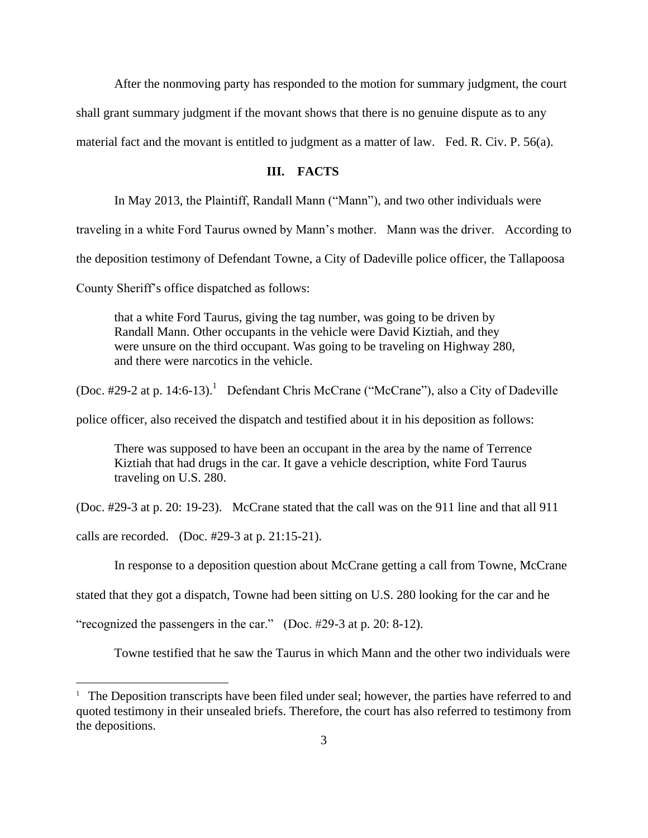After the nonmoving party has responded to the motion for summary judgment, the court

shall grant summary judgment if the movant shows that there is no genuine dispute as to any

material fact and the movant is entitled to judgment as a matter of law. Fed. R. Civ. P. 56(a).

## **III. FACTS**

In May 2013, the Plaintiff, Randall Mann ("Mann"), and two other individuals were

traveling in a white Ford Taurus owned by Mann's mother. Mann was the driver. According to

the deposition testimony of Defendant Towne, a City of Dadeville police officer, the Tallapoosa

County Sheriff's office dispatched as follows:

that a white Ford Taurus, giving the tag number, was going to be driven by Randall Mann. Other occupants in the vehicle were David Kiztiah, and they were unsure on the third occupant. Was going to be traveling on Highway 280, and there were narcotics in the vehicle.

(Doc. #29-2 at p. 14:6-13).<sup>1</sup> Defendant Chris McCrane ("McCrane"), also a City of Dadeville

police officer, also received the dispatch and testified about it in his deposition as follows:

There was supposed to have been an occupant in the area by the name of Terrence Kiztiah that had drugs in the car. It gave a vehicle description, white Ford Taurus traveling on U.S. 280.

(Doc. #29-3 at p. 20: 19-23). McCrane stated that the call was on the 911 line and that all 911

calls are recorded. (Doc. #29-3 at p. 21:15-21).

 $\overline{a}$ 

In response to a deposition question about McCrane getting a call from Towne, McCrane

stated that they got a dispatch, Towne had been sitting on U.S. 280 looking for the car and he

"recognized the passengers in the car." (Doc. #29-3 at p. 20: 8-12).

Towne testified that he saw the Taurus in which Mann and the other two individuals were

<sup>&</sup>lt;sup>1</sup> The Deposition transcripts have been filed under seal; however, the parties have referred to and quoted testimony in their unsealed briefs. Therefore, the court has also referred to testimony from the depositions.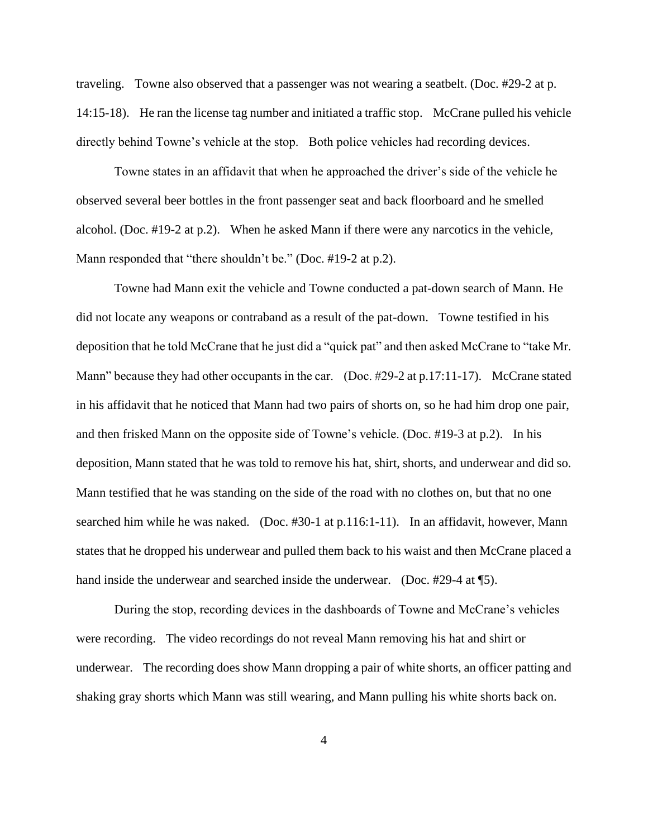traveling. Towne also observed that a passenger was not wearing a seatbelt. (Doc. #29-2 at p. 14:15-18). He ran the license tag number and initiated a traffic stop. McCrane pulled his vehicle directly behind Towne's vehicle at the stop. Both police vehicles had recording devices.

Towne states in an affidavit that when he approached the driver's side of the vehicle he observed several beer bottles in the front passenger seat and back floorboard and he smelled alcohol. (Doc. #19-2 at p.2). When he asked Mann if there were any narcotics in the vehicle, Mann responded that "there shouldn't be." (Doc. #19-2 at p.2).

Towne had Mann exit the vehicle and Towne conducted a pat-down search of Mann. He did not locate any weapons or contraband as a result of the pat-down. Towne testified in his deposition that he told McCrane that he just did a "quick pat" and then asked McCrane to "take Mr. Mann" because they had other occupants in the car. (Doc. #29-2 at p.17:11-17). McCrane stated in his affidavit that he noticed that Mann had two pairs of shorts on, so he had him drop one pair, and then frisked Mann on the opposite side of Towne's vehicle. (Doc. #19-3 at p.2). In his deposition, Mann stated that he was told to remove his hat, shirt, shorts, and underwear and did so. Mann testified that he was standing on the side of the road with no clothes on, but that no one searched him while he was naked. (Doc. #30-1 at p.116:1-11). In an affidavit, however, Mann states that he dropped his underwear and pulled them back to his waist and then McCrane placed a hand inside the underwear and searched inside the underwear. (Doc. #29-4 at \[5).

During the stop, recording devices in the dashboards of Towne and McCrane's vehicles were recording. The video recordings do not reveal Mann removing his hat and shirt or underwear. The recording does show Mann dropping a pair of white shorts, an officer patting and shaking gray shorts which Mann was still wearing, and Mann pulling his white shorts back on.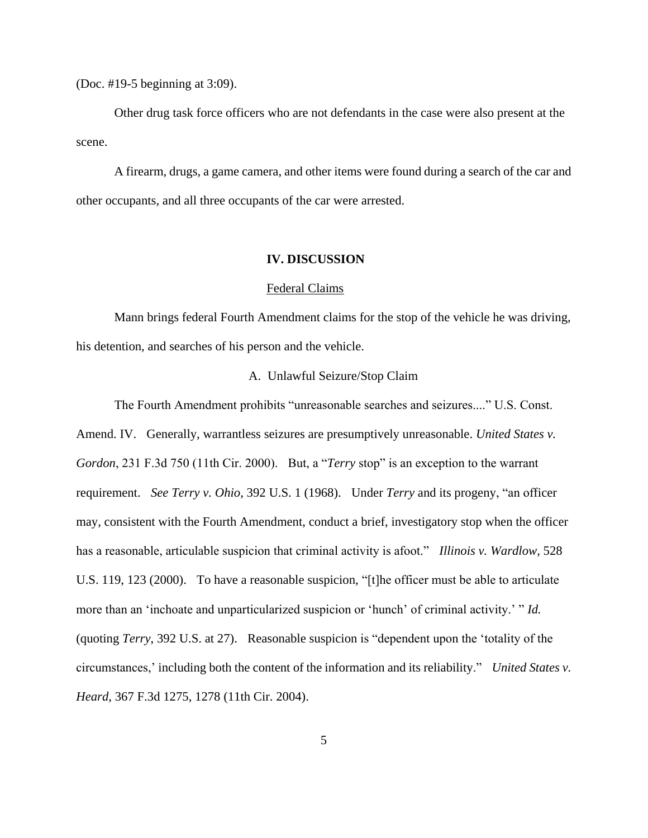(Doc. #19-5 beginning at 3:09).

Other drug task force officers who are not defendants in the case were also present at the scene.

A firearm, drugs, a game camera, and other items were found during a search of the car and other occupants, and all three occupants of the car were arrested.

#### **IV. DISCUSSION**

#### Federal Claims

Mann brings federal Fourth Amendment claims for the stop of the vehicle he was driving, his detention, and searches of his person and the vehicle.

### A. Unlawful Seizure/Stop Claim

The Fourth Amendment prohibits "unreasonable searches and seizures...." U.S. Const. Amend. IV. Generally, warrantless seizures are presumptively unreasonable. *United States v. Gordon*, 231 F.3d 750 (11th Cir. 2000). But, a "*Terry* stop" is an exception to the warrant requirement. *See Terry v. Ohio*, 392 U.S. 1 (1968). Under *Terry* and its progeny, "an officer may, consistent with the Fourth Amendment, conduct a brief, investigatory stop when the officer has a reasonable, articulable suspicion that criminal activity is afoot." *Illinois v. Wardlow*, 528 U.S. 119, 123 (2000). To have a reasonable suspicion, "[t]he officer must be able to articulate more than an 'inchoate and unparticularized suspicion or 'hunch' of criminal activity.' " *Id.* (quoting *Terry*, 392 U.S. at 27). Reasonable suspicion is "dependent upon the 'totality of the circumstances,' including both the content of the information and its reliability." *United States v. Heard*, 367 F.3d 1275, 1278 (11th Cir. 2004).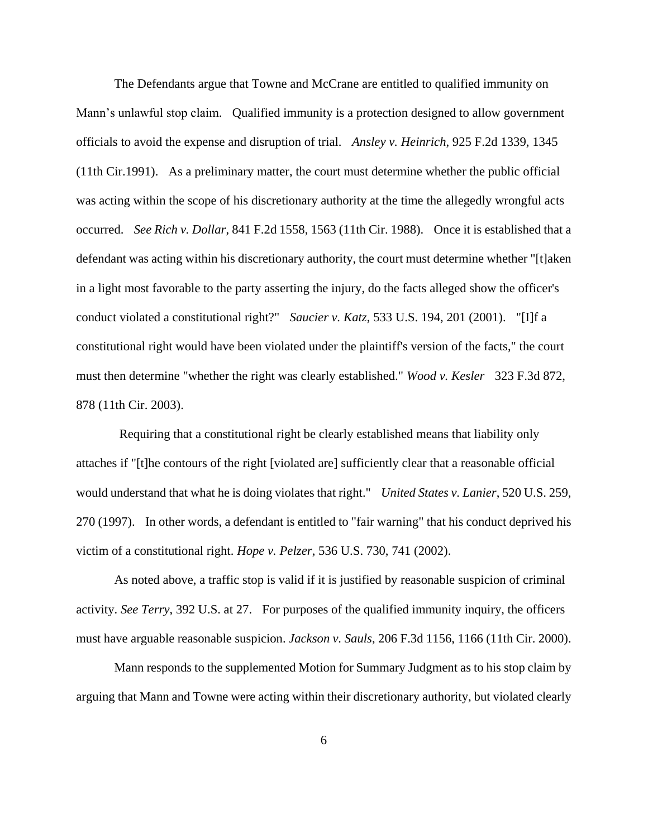The Defendants argue that Towne and McCrane are entitled to qualified immunity on Mann's unlawful stop claim. Qualified immunity is a protection designed to allow government officials to avoid the expense and disruption of trial. *Ansley v. Heinrich*, 925 F.2d 1339, 1345 (11th Cir.1991). As a preliminary matter, the court must determine whether the public official was acting within the scope of his discretionary authority at the time the allegedly wrongful acts occurred. *See Rich v. Dollar*, 841 F.2d 1558, 1563 (11th Cir. 1988). Once it is established that a defendant was acting within his discretionary authority, the court must determine whether "[t]aken in a light most favorable to the party asserting the injury, do the facts alleged show the officer's conduct violated a constitutional right?" *Saucier v. Katz*, 533 U.S. 194, 201 (2001). "[I]f a constitutional right would have been violated under the plaintiff's version of the facts," the court must then determine "whether the right was clearly established." *Wood v. Kesler* 323 F.3d 872, 878 (11th Cir. 2003).

Requiring that a constitutional right be clearly established means that liability only attaches if "[t]he contours of the right [violated are] sufficiently clear that a reasonable official would understand that what he is doing violates that right." *United States v. Lanier*, 520 U.S. 259, 270 (1997). In other words, a defendant is entitled to "fair warning" that his conduct deprived his victim of a constitutional right. *Hope v. Pelzer*, 536 U.S. 730, 741 (2002).

As noted above, a traffic stop is valid if it is justified by reasonable suspicion of criminal activity. *See Terry*, 392 U.S. at 27. For purposes of the qualified immunity inquiry, the officers must have arguable reasonable suspicion. *Jackson v. Sauls*, 206 F.3d 1156, 1166 (11th Cir. 2000).

Mann responds to the supplemented Motion for Summary Judgment as to his stop claim by arguing that Mann and Towne were acting within their discretionary authority, but violated clearly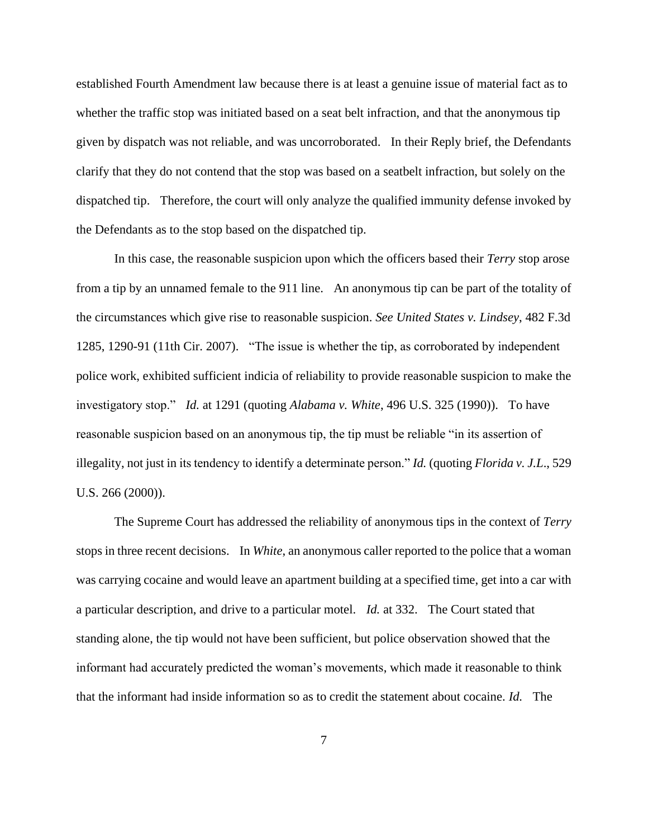established Fourth Amendment law because there is at least a genuine issue of material fact as to whether the traffic stop was initiated based on a seat belt infraction, and that the anonymous tip given by dispatch was not reliable, and was uncorroborated. In their Reply brief, the Defendants clarify that they do not contend that the stop was based on a seatbelt infraction, but solely on the dispatched tip. Therefore, the court will only analyze the qualified immunity defense invoked by the Defendants as to the stop based on the dispatched tip.

In this case, the reasonable suspicion upon which the officers based their *Terry* stop arose from a tip by an unnamed female to the 911 line. An anonymous tip can be part of the totality of the circumstances which give rise to reasonable suspicion. *See United States v. Lindsey*, 482 F.3d 1285, 1290-91 (11th Cir. 2007). "The issue is whether the tip, as corroborated by independent police work, exhibited sufficient indicia of reliability to provide reasonable suspicion to make the investigatory stop." *Id.* at 1291 (quoting *Alabama v. White*, 496 U.S. 325 (1990)). To have reasonable suspicion based on an anonymous tip, the tip must be reliable "in its assertion of illegality, not just in its tendency to identify a determinate person." *Id.* (quoting *Florida v. J.L*., 529 U.S. 266 (2000)).

The Supreme Court has addressed the reliability of anonymous tips in the context of *Terry* stops in three recent decisions. In *White*, an anonymous caller reported to the police that a woman was carrying cocaine and would leave an apartment building at a specified time, get into a car with a particular description, and drive to a particular motel. *Id.* at 332. The Court stated that standing alone, the tip would not have been sufficient, but police observation showed that the informant had accurately predicted the woman's movements, which made it reasonable to think that the informant had inside information so as to credit the statement about cocaine. *Id.* The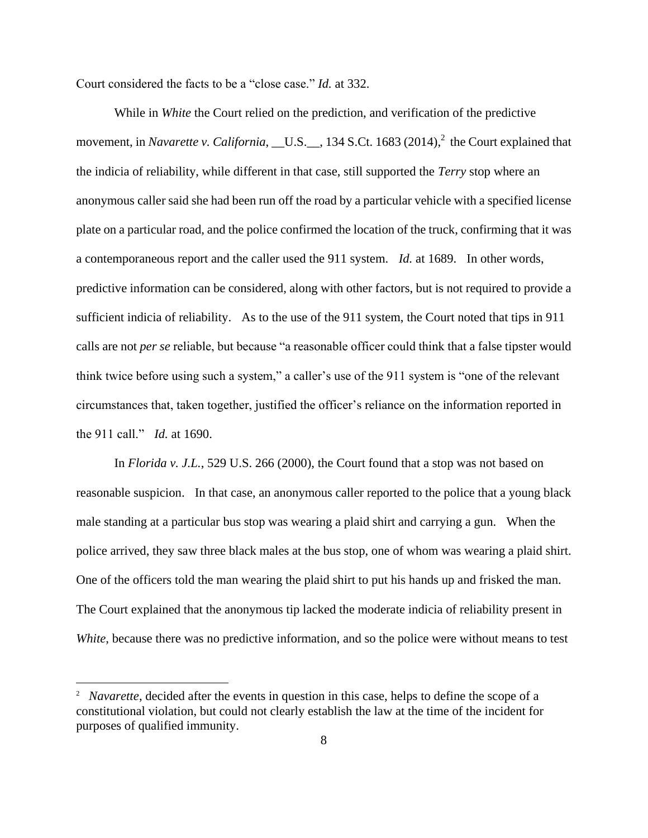Court considered the facts to be a "close case." *Id.* at 332.

While in *White* the Court relied on the prediction, and verification of the predictive movement, in *Navarette v. California*, \_\_U.S.<sub>\_\_,</sub> 134 S.Ct. 1683 (2014),<sup>2</sup> the Court explained that the indicia of reliability, while different in that case, still supported the *Terry* stop where an anonymous caller said she had been run off the road by a particular vehicle with a specified license plate on a particular road, and the police confirmed the location of the truck, confirming that it was a contemporaneous report and the caller used the 911 system. *Id.* at 1689. In other words, predictive information can be considered, along with other factors, but is not required to provide a sufficient indicia of reliability. As to the use of the 911 system, the Court noted that tips in 911 calls are not *per se* reliable, but because "a reasonable officer could think that a false tipster would think twice before using such a system," a caller's use of the 911 system is "one of the relevant circumstances that, taken together, justified the officer's reliance on the information reported in the 911 call." *Id.* at 1690.

In *Florida v. J.L.*, 529 U.S. 266 (2000), the Court found that a stop was not based on reasonable suspicion. In that case, an anonymous caller reported to the police that a young black male standing at a particular bus stop was wearing a plaid shirt and carrying a gun. When the police arrived, they saw three black males at the bus stop, one of whom was wearing a plaid shirt. One of the officers told the man wearing the plaid shirt to put his hands up and frisked the man. The Court explained that the anonymous tip lacked the moderate indicia of reliability present in *White*, because there was no predictive information, and so the police were without means to test

<sup>&</sup>lt;sup>2</sup> *Navarette*, decided after the events in question in this case, helps to define the scope of a constitutional violation, but could not clearly establish the law at the time of the incident for purposes of qualified immunity.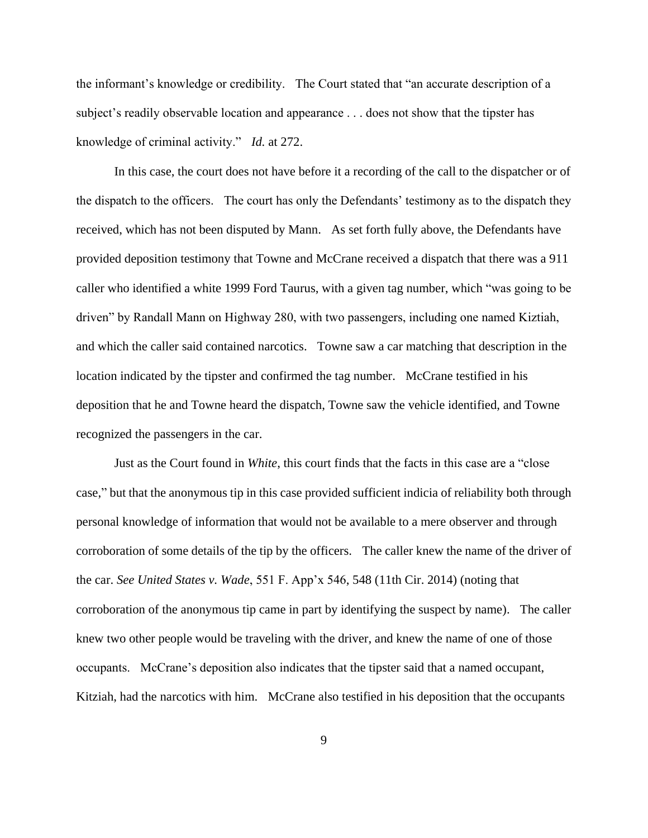the informant's knowledge or credibility. The Court stated that "an accurate description of a subject's readily observable location and appearance . . . does not show that the tipster has knowledge of criminal activity." *Id.* at 272.

In this case, the court does not have before it a recording of the call to the dispatcher or of the dispatch to the officers. The court has only the Defendants' testimony as to the dispatch they received, which has not been disputed by Mann. As set forth fully above, the Defendants have provided deposition testimony that Towne and McCrane received a dispatch that there was a 911 caller who identified a white 1999 Ford Taurus, with a given tag number, which "was going to be driven" by Randall Mann on Highway 280, with two passengers, including one named Kiztiah, and which the caller said contained narcotics. Towne saw a car matching that description in the location indicated by the tipster and confirmed the tag number. McCrane testified in his deposition that he and Towne heard the dispatch, Towne saw the vehicle identified, and Towne recognized the passengers in the car.

Just as the Court found in *White*, this court finds that the facts in this case are a "close case," but that the anonymous tip in this case provided sufficient indicia of reliability both through personal knowledge of information that would not be available to a mere observer and through corroboration of some details of the tip by the officers. The caller knew the name of the driver of the car. *See United States v. Wade*, 551 F. App'x 546, 548 (11th Cir. 2014) (noting that corroboration of the anonymous tip came in part by identifying the suspect by name). The caller knew two other people would be traveling with the driver, and knew the name of one of those occupants. McCrane's deposition also indicates that the tipster said that a named occupant, Kitziah, had the narcotics with him. McCrane also testified in his deposition that the occupants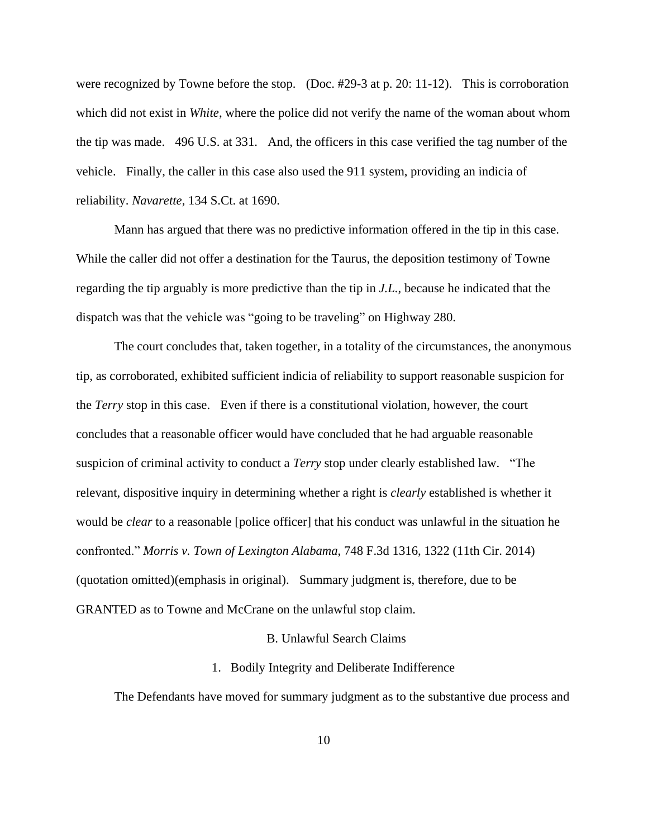were recognized by Towne before the stop. (Doc. #29-3 at p. 20: 11-12). This is corroboration which did not exist in *White*, where the police did not verify the name of the woman about whom the tip was made. 496 U.S. at 331. And, the officers in this case verified the tag number of the vehicle. Finally, the caller in this case also used the 911 system, providing an indicia of reliability. *Navarette*, 134 S.Ct. at 1690.

Mann has argued that there was no predictive information offered in the tip in this case. While the caller did not offer a destination for the Taurus, the deposition testimony of Towne regarding the tip arguably is more predictive than the tip in *J.L.*, because he indicated that the dispatch was that the vehicle was "going to be traveling" on Highway 280.

The court concludes that, taken together, in a totality of the circumstances, the anonymous tip, as corroborated, exhibited sufficient indicia of reliability to support reasonable suspicion for the *Terry* stop in this case. Even if there is a constitutional violation, however, the court concludes that a reasonable officer would have concluded that he had arguable reasonable suspicion of criminal activity to conduct a *Terry* stop under clearly established law. "The relevant, dispositive inquiry in determining whether a right is *clearly* established is whether it would be *clear* to a reasonable [police officer] that his conduct was unlawful in the situation he confronted." *Morris v. Town of Lexington Alabama*, 748 F.3d 1316, 1322 (11th Cir. 2014) (quotation omitted)(emphasis in original). Summary judgment is, therefore, due to be GRANTED as to Towne and McCrane on the unlawful stop claim.

# B. Unlawful Search Claims

#### 1. Bodily Integrity and Deliberate Indifference

The Defendants have moved for summary judgment as to the substantive due process and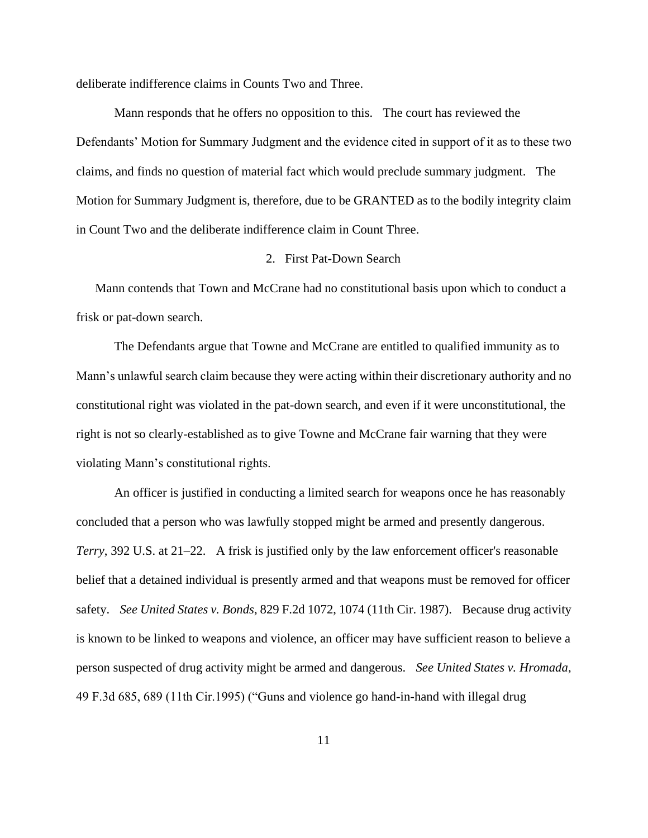deliberate indifference claims in Counts Two and Three.

Mann responds that he offers no opposition to this. The court has reviewed the Defendants' Motion for Summary Judgment and the evidence cited in support of it as to these two claims, and finds no question of material fact which would preclude summary judgment. The Motion for Summary Judgment is, therefore, due to be GRANTED as to the bodily integrity claim in Count Two and the deliberate indifference claim in Count Three.

#### 2. First Pat-Down Search

Mann contends that Town and McCrane had no constitutional basis upon which to conduct a frisk or pat-down search.

The Defendants argue that Towne and McCrane are entitled to qualified immunity as to Mann's unlawful search claim because they were acting within their discretionary authority and no constitutional right was violated in the pat-down search, and even if it were unconstitutional, the right is not so clearly-established as to give Towne and McCrane fair warning that they were violating Mann's constitutional rights.

An officer is justified in conducting a limited search for weapons once he has reasonably concluded that a person who was lawfully stopped might be armed and presently dangerous. *Terry*, 392 U.S. at 21–22. A frisk is justified only by the law enforcement officer's reasonable belief that a detained individual is presently armed and that weapons must be removed for officer safety. *See United States v. Bonds*, 829 F.2d 1072, 1074 (11th Cir. 1987). Because drug activity is known to be linked to weapons and violence, an officer may have sufficient reason to believe a person suspected of drug activity might be armed and dangerous. *See United States v. Hromada*, 49 F.3d 685, 689 (11th Cir.1995) ("Guns and violence go hand-in-hand with illegal drug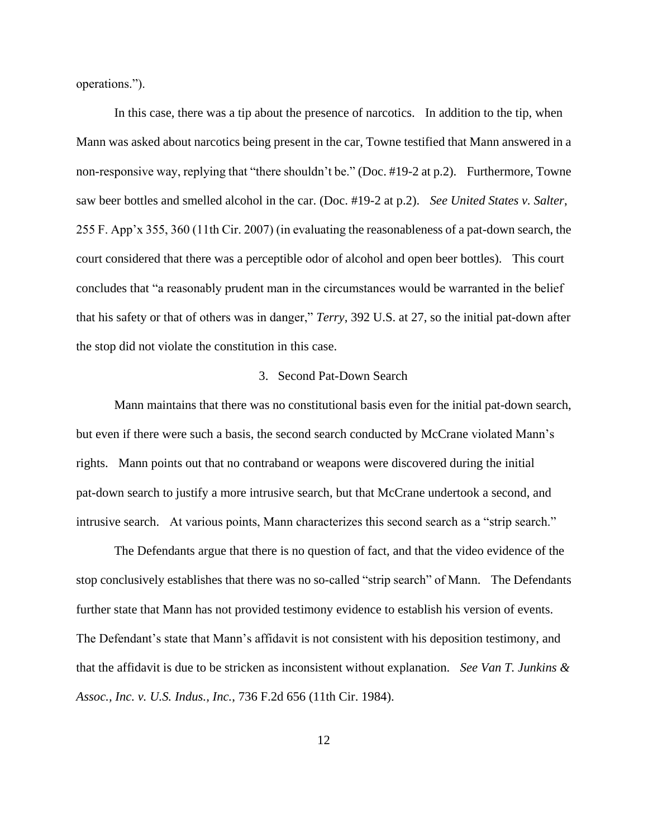operations.").

In this case, there was a tip about the presence of narcotics. In addition to the tip, when Mann was asked about narcotics being present in the car, Towne testified that Mann answered in a non-responsive way, replying that "there shouldn't be." (Doc. #19-2 at p.2). Furthermore, Towne saw beer bottles and smelled alcohol in the car. (Doc. #19-2 at p.2). *See United States v. Salter*, 255 F. App'x 355, 360 (11th Cir. 2007) (in evaluating the reasonableness of a pat-down search, the court considered that there was a perceptible odor of alcohol and open beer bottles). This court concludes that "a reasonably prudent man in the circumstances would be warranted in the belief that his safety or that of others was in danger," *Terry*, 392 U.S. at 27, so the initial pat-down after the stop did not violate the constitution in this case.

#### 3. Second Pat-Down Search

Mann maintains that there was no constitutional basis even for the initial pat-down search, but even if there were such a basis, the second search conducted by McCrane violated Mann's rights. Mann points out that no contraband or weapons were discovered during the initial pat-down search to justify a more intrusive search, but that McCrane undertook a second, and intrusive search. At various points, Mann characterizes this second search as a "strip search."

The Defendants argue that there is no question of fact, and that the video evidence of the stop conclusively establishes that there was no so-called "strip search" of Mann. The Defendants further state that Mann has not provided testimony evidence to establish his version of events. The Defendant's state that Mann's affidavit is not consistent with his deposition testimony, and that the affidavit is due to be stricken as inconsistent without explanation. *See Van T. Junkins & Assoc., Inc. v. U.S. Indus., Inc.*, 736 F.2d 656 (11th Cir. 1984).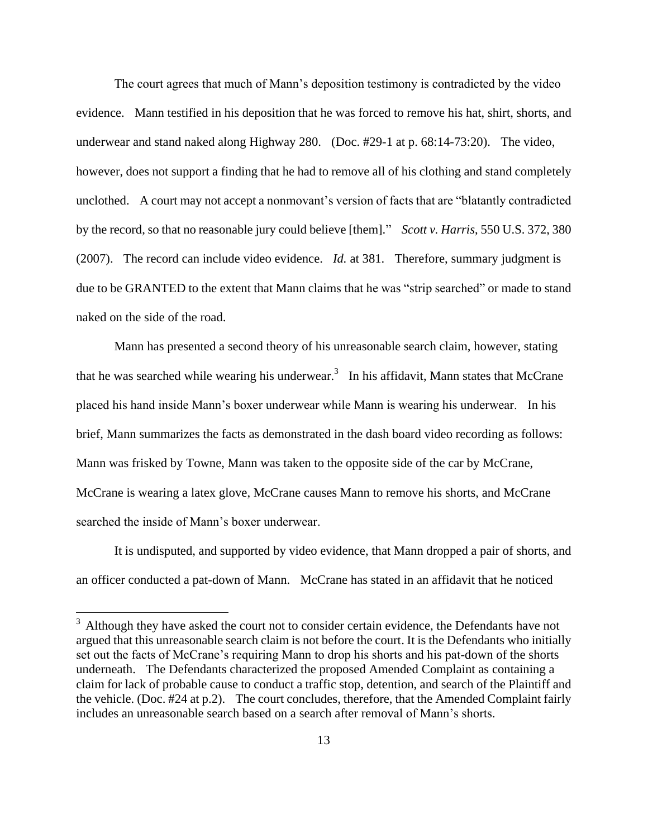The court agrees that much of Mann's deposition testimony is contradicted by the video evidence. Mann testified in his deposition that he was forced to remove his hat, shirt, shorts, and underwear and stand naked along Highway 280. (Doc. #29-1 at p. 68:14-73:20). The video, however, does not support a finding that he had to remove all of his clothing and stand completely unclothed. A court may not accept a nonmovant's version of facts that are "blatantly contradicted by the record, so that no reasonable jury could believe [them]." *Scott v. Harris*, 550 U.S. 372, 380 (2007). The record can include video evidence. *Id.* at 381. Therefore, summary judgment is due to be GRANTED to the extent that Mann claims that he was "strip searched" or made to stand naked on the side of the road.

Mann has presented a second theory of his unreasonable search claim, however, stating that he was searched while wearing his underwear.<sup>3</sup> In his affidavit, Mann states that McCrane placed his hand inside Mann's boxer underwear while Mann is wearing his underwear. In his brief, Mann summarizes the facts as demonstrated in the dash board video recording as follows: Mann was frisked by Towne, Mann was taken to the opposite side of the car by McCrane, McCrane is wearing a latex glove, McCrane causes Mann to remove his shorts, and McCrane searched the inside of Mann's boxer underwear.

It is undisputed, and supported by video evidence, that Mann dropped a pair of shorts, and an officer conducted a pat-down of Mann. McCrane has stated in an affidavit that he noticed

 $3$  Although they have asked the court not to consider certain evidence, the Defendants have not argued that this unreasonable search claim is not before the court. It is the Defendants who initially set out the facts of McCrane's requiring Mann to drop his shorts and his pat-down of the shorts underneath. The Defendants characterized the proposed Amended Complaint as containing a claim for lack of probable cause to conduct a traffic stop, detention, and search of the Plaintiff and the vehicle. (Doc. #24 at p.2). The court concludes, therefore, that the Amended Complaint fairly includes an unreasonable search based on a search after removal of Mann's shorts.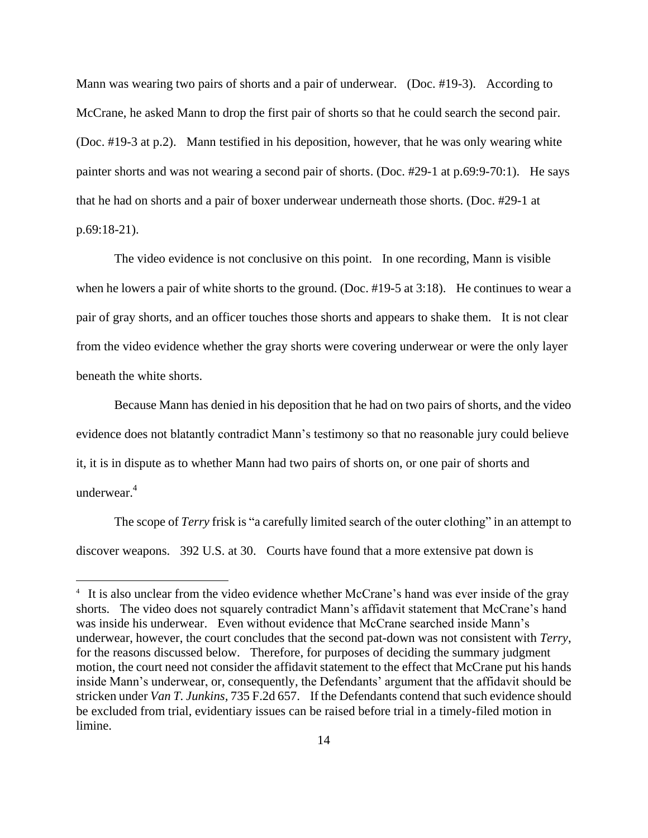Mann was wearing two pairs of shorts and a pair of underwear. (Doc. #19-3). According to McCrane, he asked Mann to drop the first pair of shorts so that he could search the second pair. (Doc. #19-3 at p.2). Mann testified in his deposition, however, that he was only wearing white painter shorts and was not wearing a second pair of shorts. (Doc. #29-1 at p.69:9-70:1). He says that he had on shorts and a pair of boxer underwear underneath those shorts. (Doc. #29-1 at p.69:18-21).

The video evidence is not conclusive on this point. In one recording, Mann is visible when he lowers a pair of white shorts to the ground. (Doc. #19-5 at 3:18). He continues to wear a pair of gray shorts, and an officer touches those shorts and appears to shake them. It is not clear from the video evidence whether the gray shorts were covering underwear or were the only layer beneath the white shorts.

Because Mann has denied in his deposition that he had on two pairs of shorts, and the video evidence does not blatantly contradict Mann's testimony so that no reasonable jury could believe it, it is in dispute as to whether Mann had two pairs of shorts on, or one pair of shorts and underwear $4$ 

The scope of *Terry* frisk is "a carefully limited search of the outer clothing" in an attempt to discover weapons. 392 U.S. at 30. Courts have found that a more extensive pat down is

<sup>&</sup>lt;sup>4</sup> It is also unclear from the video evidence whether McCrane's hand was ever inside of the gray shorts. The video does not squarely contradict Mann's affidavit statement that McCrane's hand was inside his underwear. Even without evidence that McCrane searched inside Mann's underwear, however, the court concludes that the second pat-down was not consistent with *Terry*, for the reasons discussed below. Therefore, for purposes of deciding the summary judgment motion, the court need not consider the affidavit statement to the effect that McCrane put his hands inside Mann's underwear, or, consequently, the Defendants' argument that the affidavit should be stricken under *Van T. Junkins,* 735 F.2d 657. If the Defendants contend that such evidence should be excluded from trial, evidentiary issues can be raised before trial in a timely-filed motion in limine.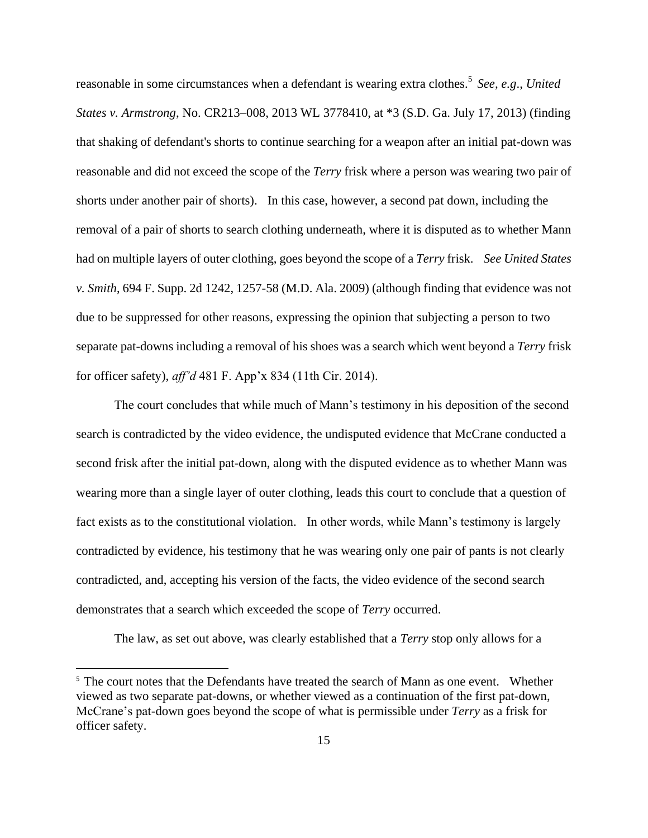reasonable in some circumstances when a defendant is wearing extra clothes. 5 *See, e.g*., *United States v. Armstrong*, No. CR213–008, 2013 WL 3778410, at \*3 (S.D. Ga. July 17, 2013) (finding that shaking of defendant's shorts to continue searching for a weapon after an initial pat-down was reasonable and did not exceed the scope of the *Terry* frisk where a person was wearing two pair of shorts under another pair of shorts). In this case, however, a second pat down, including the removal of a pair of shorts to search clothing underneath, where it is disputed as to whether Mann had on multiple layers of outer clothing, goes beyond the scope of a *Terry* frisk. *See United States v. Smith*, 694 F. Supp. 2d 1242, 1257-58 (M.D. Ala. 2009) (although finding that evidence was not due to be suppressed for other reasons, expressing the opinion that subjecting a person to two separate pat-downs including a removal of his shoes was a search which went beyond a *Terry* frisk for officer safety), *aff'd* 481 F. App'x 834 (11th Cir. 2014).

The court concludes that while much of Mann's testimony in his deposition of the second search is contradicted by the video evidence, the undisputed evidence that McCrane conducted a second frisk after the initial pat-down, along with the disputed evidence as to whether Mann was wearing more than a single layer of outer clothing, leads this court to conclude that a question of fact exists as to the constitutional violation. In other words, while Mann's testimony is largely contradicted by evidence, his testimony that he was wearing only one pair of pants is not clearly contradicted, and, accepting his version of the facts, the video evidence of the second search demonstrates that a search which exceeded the scope of *Terry* occurred.

The law, as set out above, was clearly established that a *Terry* stop only allows for a

 $5$  The court notes that the Defendants have treated the search of Mann as one event. Whether viewed as two separate pat-downs, or whether viewed as a continuation of the first pat-down, McCrane's pat-down goes beyond the scope of what is permissible under *Terry* as a frisk for officer safety.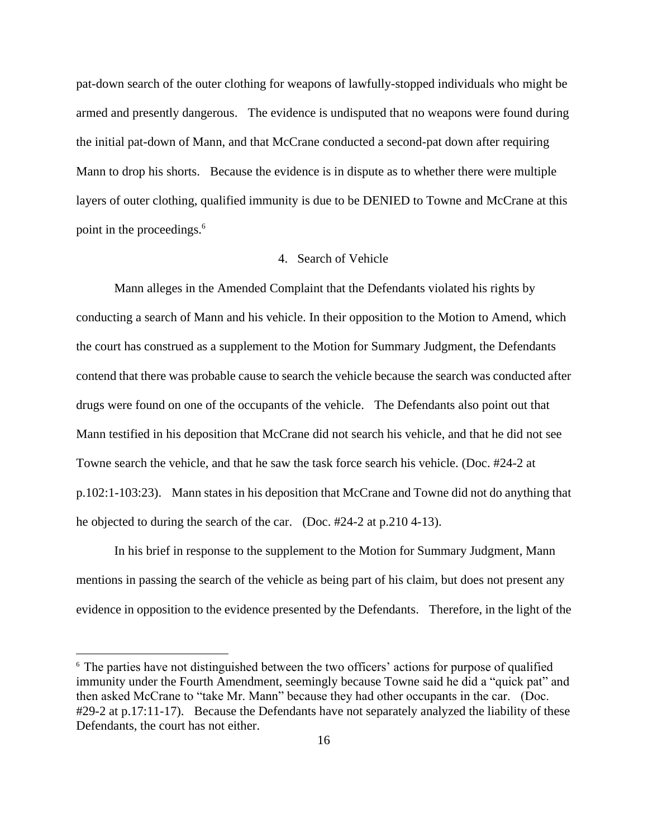pat-down search of the outer clothing for weapons of lawfully-stopped individuals who might be armed and presently dangerous. The evidence is undisputed that no weapons were found during the initial pat-down of Mann, and that McCrane conducted a second-pat down after requiring Mann to drop his shorts. Because the evidence is in dispute as to whether there were multiple layers of outer clothing, qualified immunity is due to be DENIED to Towne and McCrane at this point in the proceedings.<sup>6</sup>

# 4. Search of Vehicle

Mann alleges in the Amended Complaint that the Defendants violated his rights by conducting a search of Mann and his vehicle. In their opposition to the Motion to Amend, which the court has construed as a supplement to the Motion for Summary Judgment, the Defendants contend that there was probable cause to search the vehicle because the search was conducted after drugs were found on one of the occupants of the vehicle. The Defendants also point out that Mann testified in his deposition that McCrane did not search his vehicle, and that he did not see Towne search the vehicle, and that he saw the task force search his vehicle. (Doc. #24-2 at p.102:1-103:23). Mann states in his deposition that McCrane and Towne did not do anything that he objected to during the search of the car. (Doc. #24-2 at p.210 4-13).

In his brief in response to the supplement to the Motion for Summary Judgment, Mann mentions in passing the search of the vehicle as being part of his claim, but does not present any evidence in opposition to the evidence presented by the Defendants. Therefore, in the light of the

<sup>&</sup>lt;sup>6</sup> The parties have not distinguished between the two officers' actions for purpose of qualified immunity under the Fourth Amendment, seemingly because Towne said he did a "quick pat" and then asked McCrane to "take Mr. Mann" because they had other occupants in the car. (Doc. #29-2 at p.17:11-17). Because the Defendants have not separately analyzed the liability of these Defendants, the court has not either.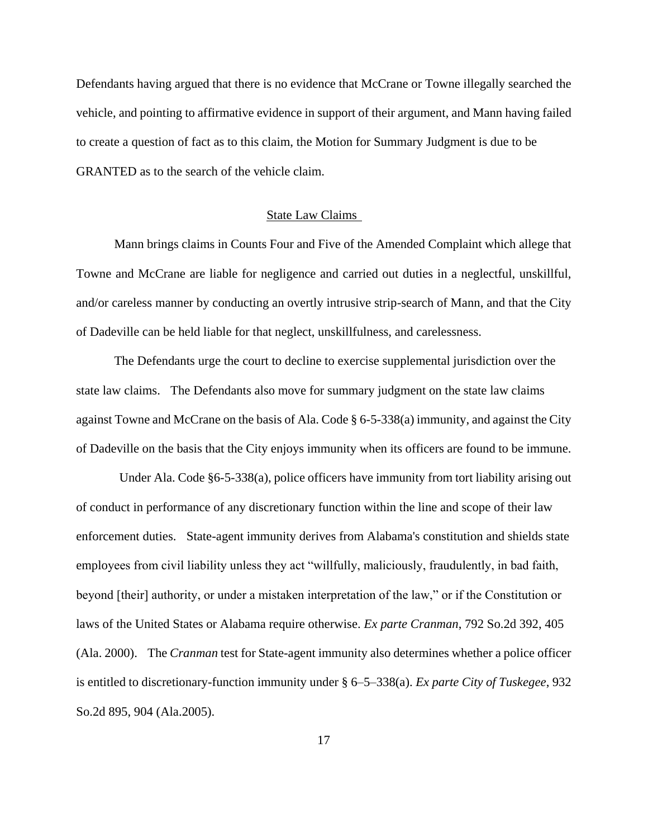Defendants having argued that there is no evidence that McCrane or Towne illegally searched the vehicle, and pointing to affirmative evidence in support of their argument, and Mann having failed to create a question of fact as to this claim, the Motion for Summary Judgment is due to be GRANTED as to the search of the vehicle claim.

## State Law Claims

Mann brings claims in Counts Four and Five of the Amended Complaint which allege that Towne and McCrane are liable for negligence and carried out duties in a neglectful, unskillful, and/or careless manner by conducting an overtly intrusive strip-search of Mann, and that the City of Dadeville can be held liable for that neglect, unskillfulness, and carelessness.

The Defendants urge the court to decline to exercise supplemental jurisdiction over the state law claims. The Defendants also move for summary judgment on the state law claims against Towne and McCrane on the basis of Ala. Code  $\S$  6-5-338(a) immunity, and against the City of Dadeville on the basis that the City enjoys immunity when its officers are found to be immune.

Under Ala. Code §6-5-338(a), police officers have immunity from tort liability arising out of conduct in performance of any discretionary function within the line and scope of their law enforcement duties. State-agent immunity derives from Alabama's constitution and shields state employees from civil liability unless they act "willfully, maliciously, fraudulently, in bad faith, beyond [their] authority, or under a mistaken interpretation of the law," or if the Constitution or laws of the United States or Alabama require otherwise. *Ex parte Cranman*, 792 So.2d 392, 405 (Ala. 2000). The *Cranman* test for State-agent immunity also determines whether a police officer is entitled to discretionary-function immunity under § 6–5–338(a). *Ex parte City of Tuskegee*, 932 So.2d 895, 904 (Ala.2005).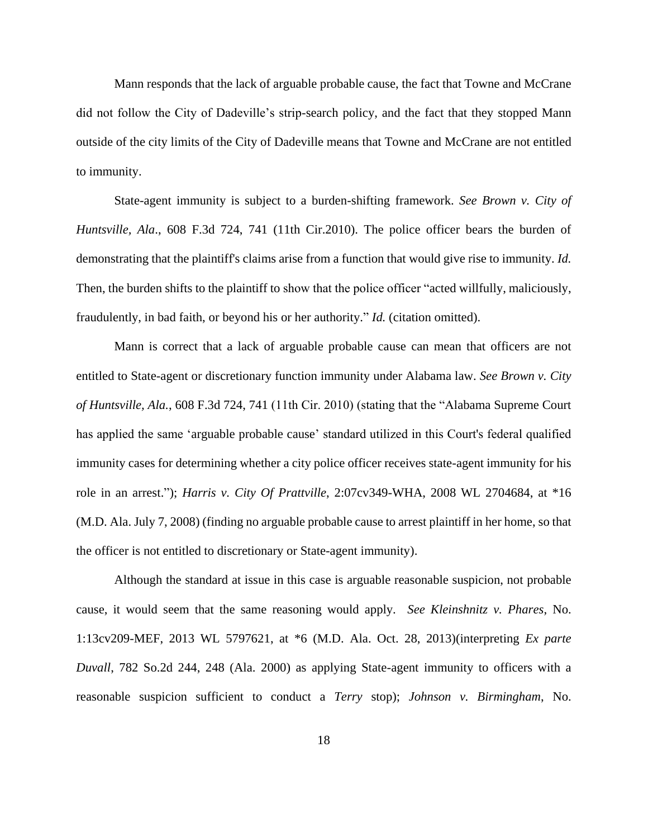Mann responds that the lack of arguable probable cause, the fact that Towne and McCrane did not follow the City of Dadeville's strip-search policy, and the fact that they stopped Mann outside of the city limits of the City of Dadeville means that Towne and McCrane are not entitled to immunity.

State-agent immunity is subject to a burden-shifting framework. *See Brown v. City of Huntsville, Ala*., 608 F.3d 724, 741 (11th Cir.2010). The police officer bears the burden of demonstrating that the plaintiff's claims arise from a function that would give rise to immunity. *Id.* Then, the burden shifts to the plaintiff to show that the police officer "acted willfully, maliciously, fraudulently, in bad faith, or beyond his or her authority." *Id.* (citation omitted).

Mann is correct that a lack of arguable probable cause can mean that officers are not entitled to State-agent or discretionary function immunity under Alabama law. *See Brown v. City of Huntsville, Ala.*, 608 F.3d 724, 741 (11th Cir. 2010) (stating that the "Alabama Supreme Court has applied the same 'arguable probable cause' standard utilized in this Court's federal qualified immunity cases for determining whether a city police officer receives state-agent immunity for his role in an arrest."); *Harris v. City Of Prattville*, 2:07cv349-WHA, 2008 WL 2704684, at \*16 (M.D. Ala. July 7, 2008) (finding no arguable probable cause to arrest plaintiff in her home, so that the officer is not entitled to discretionary or State-agent immunity).

Although the standard at issue in this case is arguable reasonable suspicion, not probable cause, it would seem that the same reasoning would apply. *See Kleinshnitz v. Phares*, No. 1:13cv209-MEF, 2013 WL 5797621, at \*6 (M.D. Ala. Oct. 28, 2013)(interpreting *Ex parte Duvall*, 782 So.2d 244, 248 (Ala. 2000) as applying State-agent immunity to officers with a reasonable suspicion sufficient to conduct a *Terry* stop); *Johnson v. Birmingham*, No.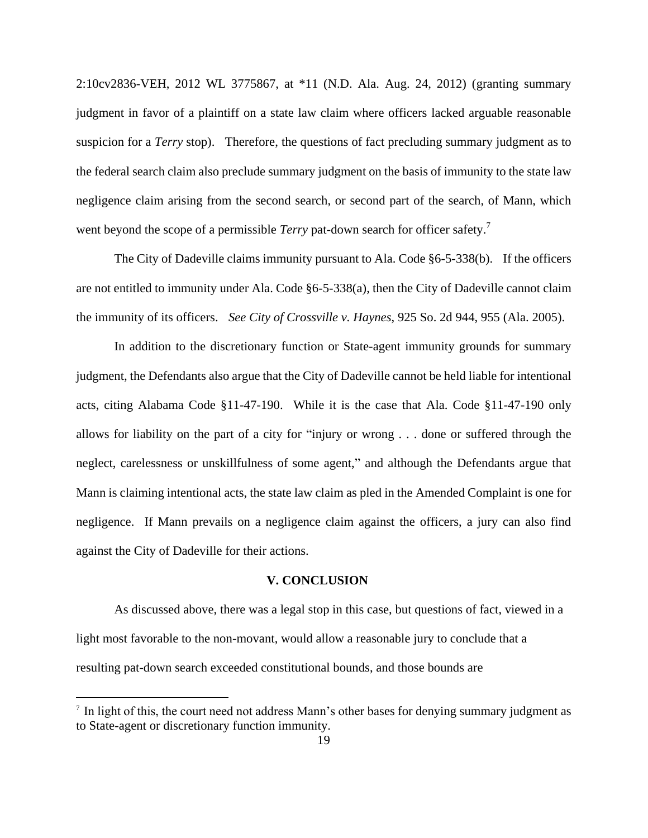2:10cv2836-VEH, 2012 WL 3775867, at \*11 (N.D. Ala. Aug. 24, 2012) (granting summary judgment in favor of a plaintiff on a state law claim where officers lacked arguable reasonable suspicion for a *Terry* stop). Therefore, the questions of fact precluding summary judgment as to the federal search claim also preclude summary judgment on the basis of immunity to the state law negligence claim arising from the second search, or second part of the search, of Mann, which went beyond the scope of a permissible *Terry* pat-down search for officer safety.<sup>7</sup>

The City of Dadeville claims immunity pursuant to Ala. Code §6-5-338(b). If the officers are not entitled to immunity under Ala. Code §6-5-338(a), then the City of Dadeville cannot claim the immunity of its officers. *See City of Crossville v. Haynes*, 925 So. 2d 944, 955 (Ala. 2005).

In addition to the discretionary function or State-agent immunity grounds for summary judgment, the Defendants also argue that the City of Dadeville cannot be held liable for intentional acts, citing Alabama Code §11-47-190. While it is the case that Ala. Code §11-47-190 only allows for liability on the part of a city for "injury or wrong . . . done or suffered through the neglect, carelessness or unskillfulness of some agent," and although the Defendants argue that Mann is claiming intentional acts, the state law claim as pled in the Amended Complaint is one for negligence. If Mann prevails on a negligence claim against the officers, a jury can also find against the City of Dadeville for their actions.

## **V. CONCLUSION**

As discussed above, there was a legal stop in this case, but questions of fact, viewed in a light most favorable to the non-movant, would allow a reasonable jury to conclude that a resulting pat-down search exceeded constitutional bounds, and those bounds are

<sup>&</sup>lt;sup>7</sup> In light of this, the court need not address Mann's other bases for denying summary judgment as to State-agent or discretionary function immunity.